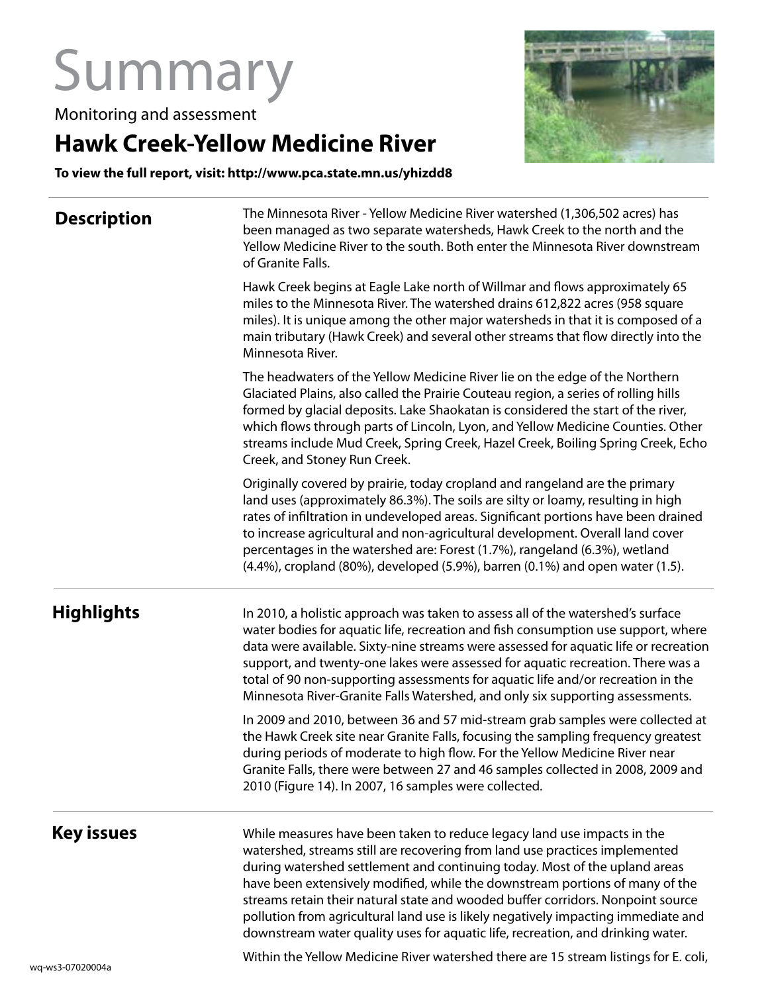## Summary

Monitoring and assessment

## **Hawk Creek-Yellow Medicine River**

**To view the full report, visit: http://www.pca.state.mn.us/yhizdd8** 

| <b>Description</b> | The Minnesota River - Yellow Medicine River watershed (1,306,502 acres) has<br>been managed as two separate watersheds, Hawk Creek to the north and the<br>Yellow Medicine River to the south. Both enter the Minnesota River downstream<br>of Granite Falls.                                                                                                                                                                                                                                                                                                                   |
|--------------------|---------------------------------------------------------------------------------------------------------------------------------------------------------------------------------------------------------------------------------------------------------------------------------------------------------------------------------------------------------------------------------------------------------------------------------------------------------------------------------------------------------------------------------------------------------------------------------|
|                    | Hawk Creek begins at Eagle Lake north of Willmar and flows approximately 65<br>miles to the Minnesota River. The watershed drains 612,822 acres (958 square<br>miles). It is unique among the other major watersheds in that it is composed of a<br>main tributary (Hawk Creek) and several other streams that flow directly into the<br>Minnesota River.                                                                                                                                                                                                                       |
|                    | The headwaters of the Yellow Medicine River lie on the edge of the Northern<br>Glaciated Plains, also called the Prairie Couteau region, a series of rolling hills<br>formed by glacial deposits. Lake Shaokatan is considered the start of the river,<br>which flows through parts of Lincoln, Lyon, and Yellow Medicine Counties. Other<br>streams include Mud Creek, Spring Creek, Hazel Creek, Boiling Spring Creek, Echo<br>Creek, and Stoney Run Creek.                                                                                                                   |
|                    | Originally covered by prairie, today cropland and rangeland are the primary<br>land uses (approximately 86.3%). The soils are silty or loamy, resulting in high<br>rates of infiltration in undeveloped areas. Significant portions have been drained<br>to increase agricultural and non-agricultural development. Overall land cover<br>percentages in the watershed are: Forest (1.7%), rangeland (6.3%), wetland<br>(4.4%), cropland (80%), developed (5.9%), barren (0.1%) and open water (1.5).                                                                           |
| <b>Highlights</b>  | In 2010, a holistic approach was taken to assess all of the watershed's surface<br>water bodies for aquatic life, recreation and fish consumption use support, where<br>data were available. Sixty-nine streams were assessed for aquatic life or recreation<br>support, and twenty-one lakes were assessed for aquatic recreation. There was a<br>total of 90 non-supporting assessments for aquatic life and/or recreation in the<br>Minnesota River-Granite Falls Watershed, and only six supporting assessments.                                                            |
|                    | In 2009 and 2010, between 36 and 57 mid-stream grab samples were collected at<br>the Hawk Creek site near Granite Falls, focusing the sampling frequency greatest<br>during periods of moderate to high flow. For the Yellow Medicine River near<br>Granite Falls, there were between 27 and 46 samples collected in 2008, 2009 and<br>2010 (Figure 14). In 2007, 16 samples were collected.                                                                                                                                                                                    |
| Key issues         | While measures have been taken to reduce legacy land use impacts in the<br>watershed, streams still are recovering from land use practices implemented<br>during watershed settlement and continuing today. Most of the upland areas<br>have been extensively modified, while the downstream portions of many of the<br>streams retain their natural state and wooded buffer corridors. Nonpoint source<br>pollution from agricultural land use is likely negatively impacting immediate and<br>downstream water quality uses for aquatic life, recreation, and drinking water. |

Within the Yellow Medicine River watershed there are 15 stream listings for E. coli,